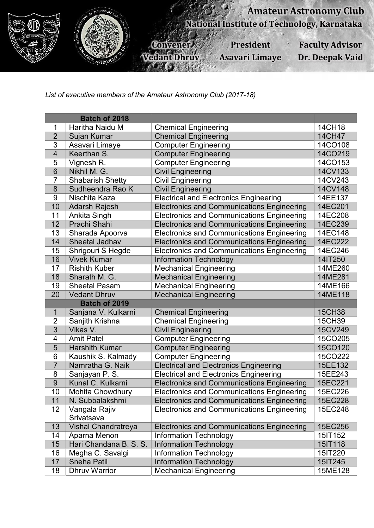

List of executive members of the Amateur Astronomy Club (2017-18)

|                         | <b>Batch of 2018</b>        |                                                   |         |  |
|-------------------------|-----------------------------|---------------------------------------------------|---------|--|
| 1                       | Haritha Naidu M             | <b>Chemical Engineering</b>                       | 14CH18  |  |
| $\overline{2}$          | Sujan Kumar                 | <b>Chemical Engineering</b>                       | 14CH47  |  |
| 3                       | Asavari Limaye              | <b>Computer Engineering</b>                       | 14CO108 |  |
| $\overline{\mathbf{4}}$ | Keerthan S.                 | <b>Computer Engineering</b>                       | 14CO219 |  |
| 5                       | Vignesh R.                  | <b>Computer Engineering</b>                       | 14CO153 |  |
| $6\phantom{1}$          | Nikhil M. G.                | <b>Civil Engineering</b>                          | 14CV133 |  |
| $\overline{7}$          | <b>Shabarish Shetty</b>     | <b>Civil Engineering</b>                          | 14CV243 |  |
| $\bf 8$                 | Sudheendra Rao K            | <b>Civil Engineering</b>                          | 14CV148 |  |
| $9\,$                   | Nischita Kaza               | <b>Electrical and Electronics Engineering</b>     | 14EE137 |  |
| 10                      | <b>Adarsh Rajesh</b>        | <b>Electronics and Communications Engineering</b> | 14EC201 |  |
| 11                      | Ankita Singh                | <b>Electronics and Communications Engineering</b> | 14EC208 |  |
| 12                      | Prachi Shahi                | <b>Electronics and Communications Engineering</b> | 14EC239 |  |
| 13                      | Sharada Apoorva             | <b>Electronics and Communications Engineering</b> | 14EC148 |  |
| 14                      | Sheetal Jadhav              | <b>Electronics and Communications Engineering</b> | 14EC222 |  |
| 15                      | Shrigouri S Hegde           | <b>Electronics and Communications Engineering</b> | 14EC246 |  |
| 16                      | <b>Vivek Kumar</b>          | <b>Information Technology</b>                     | 14IT250 |  |
| 17                      | <b>Rishith Kuber</b>        | <b>Mechanical Engineering</b>                     | 14ME260 |  |
| 18                      | Sharath M. G.               | <b>Mechanical Engineering</b>                     | 14ME281 |  |
| 19                      | <b>Sheetal Pasam</b>        | <b>Mechanical Engineering</b>                     | 14ME166 |  |
| 20                      | <b>Vedant Dhruv</b>         | <b>Mechanical Engineering</b>                     | 14ME118 |  |
|                         | Batch of 2019               |                                                   |         |  |
| 1                       | Sanjana V. Kulkarni         | <b>Chemical Engineering</b>                       | 15CH38  |  |
| $\overline{2}$          | Sanjith Krishna             | <b>Chemical Engineering</b>                       | 15CH39  |  |
| 3                       | Vikas V.                    | <b>Civil Engineering</b>                          | 15CV249 |  |
| 4                       | <b>Amit Patel</b>           | <b>Computer Engineering</b>                       | 15CO205 |  |
| 5                       | <b>Harshith Kumar</b>       | <b>Computer Engineering</b>                       | 15CO120 |  |
| 6                       | Kaushik S. Kalmady          | <b>Computer Engineering</b>                       | 15CO222 |  |
| $\overline{7}$          | Namratha G. Naik            | <b>Electrical and Electronics Engineering</b>     | 15EE132 |  |
| 8                       | Sanjayan P.S.               | <b>Electrical and Electronics Engineering</b>     | 15EE243 |  |
| 9                       | Kunal C. Kulkarni           | <b>Electronics and Communications Engineering</b> | 15EC221 |  |
| 10                      | <b>Mohita Chowdhury</b>     | <b>Electronics and Communications Engineering</b> | 15EC226 |  |
| 11                      | N. Subbalakshmi             | <b>Electronics and Communications Engineering</b> | 15EC228 |  |
| 12                      | Vangala Rajiv<br>Srivatsava | <b>Electronics and Communications Engineering</b> | 15EC248 |  |
| 13                      | Vishal Chandratreya         | <b>Electronics and Communications Engineering</b> | 15EC256 |  |
| 14                      | Aparna Menon                | <b>Information Technology</b>                     | 15IT152 |  |
| 15                      | Hari Chandana B. S. S.      | <b>Information Technology</b>                     | 15IT118 |  |
| 16                      | Megha C. Savalgi            | <b>Information Technology</b>                     | 15IT220 |  |
| 17                      | <b>Sneha Patil</b>          | <b>Information Technology</b>                     | 15IT245 |  |
| 18                      | <b>Dhruv Warrior</b>        | <b>Mechanical Engineering</b>                     | 15ME128 |  |
|                         |                             |                                                   |         |  |